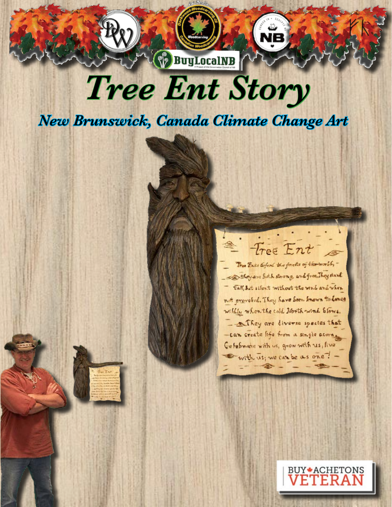## *Tree Ent Story*

**BuyLocalNB** 

*New Brunswick, Canada Climate Change Art* 

<sup>2</sup> Tree Ent Tree Ents defend the forests of the world, -- They are both strong, and free, They stand tall, Sut silent without the wind and when not provoked. They have been known to donce

wildly when the cold North wind Slows. - They are diverse spectes that -can create life from a single acorne Gefebrate with us, grow with us, live with us; we can be as one ?-

**BUY\*ACHETONS**<br>**VETERAN**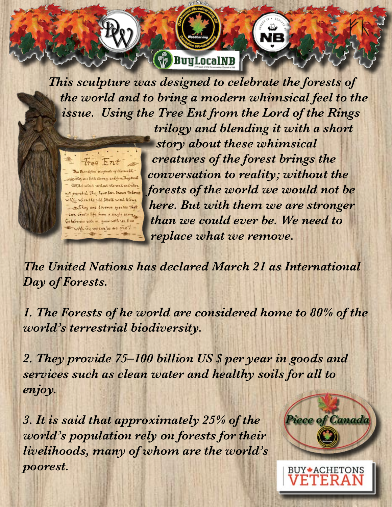

*This sculpture was designed to celebrate the forests of the world and to bring a modern whimsical feel to the issue. Using the Tree Ent from the Lord of the Rings trilogy and blending it with a short story about these whimsical creatures of the forest brings the*  Tree Ent Tom Entre theford the spender of the world, *conversation to reality; without the*  Selegan Solk strong and from They start fall let silent without the week and when *forests of the world we would not be*  not prevelich They have seen snown to dones willfur when the told North wind Eleve. *here. But with them we are stronger*  - Afficy are diverse spectes that -can create life from a single acora *than we could ever be. We need to*  Getebrase with us, grow with us, five with us; we can be as one ? *replace what we remove.* 

*The United Nations has declared March 21 as International Day of Forests.* 

*1. The Forests of he world are considered home to 80% of the world's terrestrial biodiversity.* 

*2. They provide 75–100 billion US \$ per year in goods and services such as clean water and healthy soils for all to enjoy.* 

*3. It is said that approximately 25% of the world's population rely on forests for their livelihoods, many of whom are the world's poorest.* 



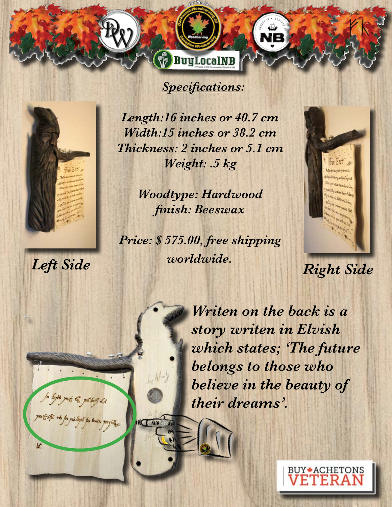

**BuyLocalNB** 



h bith mit to polog de

x

partiste na fa periogis pe baix parfuego.

**MIL UN** 

*Length:16 inches or 40.7 cm Width:15 inches or 38.2 cm Thickness: 2 inches or 5.1 cm Weight: .5 kg*

> *Woodtype: Hardwood finish: Beeswax*

*Left Side Right Side Price: \$ 575.00, free shipping worldwide.*